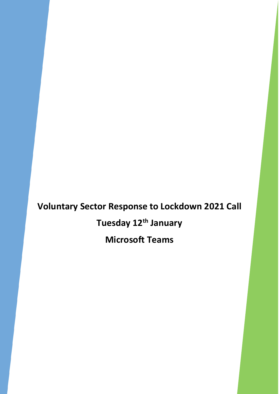**Voluntary Sector Response to Lockdown 2021 Call Tuesday 12th January**

**Microsoft Teams**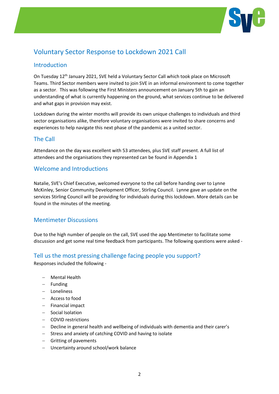

# Voluntary Sector Response to Lockdown 2021 Call

# Introduction

On Tuesday 12<sup>th</sup> January 2021, SVE held a Voluntary Sector Call which took place on Microsoft Teams. Third Sector members were invited to join SVE in an informal environment to come together as a sector. This was following the First Ministers announcement on January 5th to gain an understanding of what is currently happening on the ground, what services continue to be delivered and what gaps in provision may exist.

Lockdown during the winter months will provide its own unique challenges to individuals and third sector organisations alike, therefore voluntary organisations were invited to share concerns and experiences to help navigate this next phase of the pandemic as a united sector.

# The Call

Attendance on the day was excellent with 53 attendees, plus SVE staff present. A full list of attendees and the organisations they represented can be found in Appendix 1

# Welcome and Introductions

Natalie, SVE's Chief Executive, welcomed everyone to the call before handing over to Lynne McKinley, Senior Community Development Officer, Stirling Council. Lynne gave an update on the services Stirling Council will be providing for individuals during this lockdown. More details can be found in the minutes of the meeting.

# Mentimeter Discussions

Due to the high number of people on the call, SVE used the app Mentimeter to facilitate some discussion and get some real time feedback from participants. The following questions were asked -

# Tell us the most pressing challenge facing people you support?

Responses included the following -

- Mental Health
- $-$  Funding
- Loneliness
- Access to food
- $-$  Financial impact
- Social Isolation
- COVID restrictions
- Decline in general health and wellbeing of individuals with dementia and their carer's
- Stress and anxiety of catching COVID and having to isolate
- Gritting of pavements
- Uncertainty around school/work balance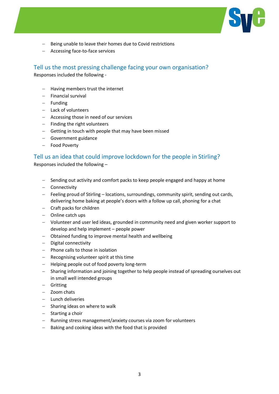

- Being unable to leave their homes due to Covid restrictions
- Accessing face-to-face services

# Tell us the most pressing challenge facing your own organisation?

Responses included the following -

- Having members trust the internet
- $-$  Financial survival
- $-$  Funding
- Lack of volunteers
- Accessing those in need of our services
- $-$  Finding the right volunteers
- Getting in touch with people that may have been missed
- Government guidance
- Food Poverty

# Tell us an idea that could improve lockdown for the people in Stirling?

Responses included the following –

- Sending out activity and comfort packs to keep people engaged and happy at home
- Connectivity
- Feeling proud of Stirling locations, surroundings, community spirit, sending out cards, delivering home baking at people's doors with a follow up call, phoning for a chat
- Craft packs for children
- Online catch ups
- Volunteer and user led ideas, grounded in community need and given worker support to develop and help implement – people power
- Obtained funding to improve mental health and wellbeing
- Digital connectivity
- $-$  Phone calls to those in isolation
- Recognising volunteer spirit at this time
- Helping people out of food poverty long-term
- Sharing information and joining together to help people instead of spreading ourselves out in small well intended groups
- Gritting
- Zoom chats
- Lunch deliveries
- Sharing ideas on where to walk
- $-$  Starting a choir
- Running stress management/anxiety courses via zoom for volunteers
- $-$  Baking and cooking ideas with the food that is provided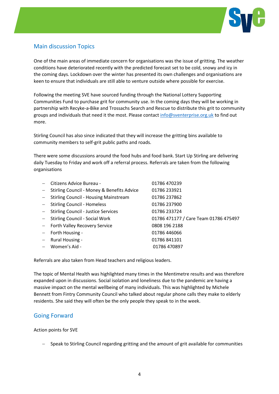

# Main discussion Topics

One of the main areas of immediate concern for organisations was the issue of gritting. The weather conditions have deteriorated recently with the predicted forecast set to be cold, snowy and icy in the coming days. Lockdown over the winter has presented its own challenges and organisations are keen to ensure that individuals are still able to venture outside where possible for exercise.

Following the meeting SVE have sourced funding through the National Lottery Supporting Communities Fund to purchase grit for community use. In the coming days they will be working in partnership with Recyke-a-Bike and Trossachs Search and Rescue to distribute this grit to community groups and individuals that need it the most. Please contact [info@sventerprise.org.uk](mailto:info@sventerprise.org.uk) to find out more.

Stirling Council has also since indicated that they will increase the gritting bins available to community members to self-grit public paths and roads.

There were some discussions around the food hubs and food bank. Start Up Stirling are delivering daily Tuesday to Friday and work off a referral process. Referrals are taken from the following organisations

|                          | Citizens Advice Bureau -                     | 01786 470239                          |
|--------------------------|----------------------------------------------|---------------------------------------|
| $\overline{\phantom{0}}$ | Stirling Council - Money & Benefits Advice   | 01786 233921                          |
| $ \,$                    | <b>Stirling Council - Housing Mainstream</b> | 01786 237862                          |
|                          | - Stirling Council - Homeless                | 01786 237900                          |
| $\overline{\phantom{m}}$ | <b>Stirling Council - Justice Services</b>   | 01786 233724                          |
| $\frac{1}{2}$            | <b>Stirling Council - Social Work</b>        | 01786 471177 / Care Team 01786 475497 |
|                          | - Forth Valley Recovery Service              | 0808 196 2188                         |
|                          | $-$ Forth Housing -                          | 01786 446066                          |
|                          | <b>Rural Housing -</b>                       | 01786 841101                          |
|                          | Women's Aid -                                | 01786 470897                          |

Referrals are also taken from Head teachers and religious leaders.

The topic of Mental Health was highlighted many times in the Mentimetre results and was therefore expanded upon in discussions. Social isolation and loneliness due to the pandemic are having a massive impact on the mental wellbeing of many individuals. This was highlighted by Michele Bennett from Fintry Community Council who talked about regular phone calls they make to elderly residents. She said they will often be the only people they speak to in the week.

# Going Forward

Action points for SVE

- Speak to Stirling Council regarding gritting and the amount of grit available for communities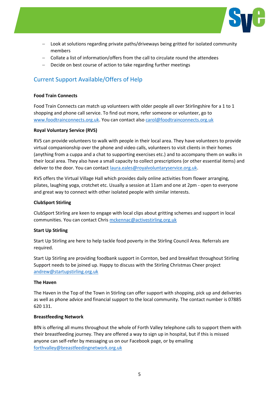

- Look at solutions regarding private paths/driveways being gritted for isolated community members
- Collate a list of information/offers from the call to circulate round the attendees
- Decide on best course of action to take regarding further meetings

# Current Support Available/Offers of Help

### **Food Train Connects**

Food Train Connects can match up volunteers with older people all over Stirlingshire for a 1 to 1 shopping and phone call service. To find out more, refer someone or volunteer, go to [www.foodtrainconnects.org.uk.](http://www.foodtrainconnects.org.uk/) You can contact also [carol@foodtrainconnects.org.uk](mailto:carol@foodtrainconnects.org.uk)

#### **Royal Voluntary Service (RVS)**

RVS can provide volunteers to walk with people in their local area. They have volunteers to provide virtual companionship over the phone and video calls, volunteers to visit clients in their homes (anything from a cuppa and a chat to supporting exercises etc.) and to accompany them on walks in their local area. They also have a small capacity to collect prescriptions (or other essential items) and deliver to the door. You can contac[t laura.eales@royalvoluntaryservice.org.uk.](mailto:laura.eales@royalvoluntaryservice.org.uk)

RVS offers the Virtual Village Hall which provides daily online activities from flower arranging, pilates, laughing yoga, crotchet etc. Usually a session at 11am and one at 2pm - open to everyone and great way to connect with other isolated people with similar interests.

### **ClubSport Stirling**

ClubSport Stirling are keen to engage with local clips about gritting schemes and support in local communities. You can contact Chris [mckennac@activestirling.org.uk](mailto:mckennac@activestirling.org.uk)

#### **Start Up Stirling**

Start Up Stirling are here to help tackle food poverty in the Stirling Council Area. Referrals are required.

Start Up Stirling are providing foodbank support in Cornton, bed and breakfast throughout Stirling Support needs to be joined up. Happy to discuss with the Stirling Christmas Cheer project [andrew@startupstirling.org.uk](mailto:andrew@startupstirling.org.uk)

#### **The Haven**

The Haven in the Top of the Town in Stirling can offer support with shopping, pick up and deliveries as well as phone advice and financial support to the local community. The contact number is 07885 620 131.

#### **Breastfeeding Network**

BfN is offering all mums throughout the whole of Forth Valley telephone calls to support them with their breastfeeding journey. They are offered a way to sign up in hospital, but if this is missed anyone can self-refer by messaging us on our Facebook page, or by emailing [forthvalley@breastfeedingnetwork.org.uk](mailto:forthvalley@breastfeedingnetwork.org.uk)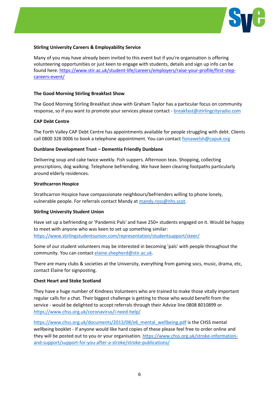

### **Stirling University Careers & Employability Service**

Many of you may have already been invited to this event but if you're organisation is offering volunteering opportunities or just keen to engage with students, details and sign up info can be found here: [https://www.stir.ac.uk/student-life/careers/employers/raise-your-profile/first-step](https://www.stir.ac.uk/student-life/careers/employers/raise-your-profile/first-step-careers-event/)[careers-event/](https://www.stir.ac.uk/student-life/careers/employers/raise-your-profile/first-step-careers-event/)

### **The Good Morning Stirling Breakfast Show**

The Good Morning Stirling Breakfast show with Graham Taylor has a particular focus on community response, so if you want to promote your services please contact - [breakfast@stirlingcityradio.com](mailto:breakfast@stirlingcityradio.com)

### **CAP Debt Centre**

The Forth Valley CAP Debt Centre has appointments available for people struggling with debt. Clients call 0800 328 0006 to book a telephone appointment. You can contact [fionawelsh@capuk.org](mailto:fionawelsh@capuk.org)

### **Dunblane Development Trust – Dementia Friendly Dunblane**

Delivering soup and cake twice weekly. Fish suppers. Afternoon teas. Shopping, collecting prescriptions, dog walking. Telephone befriending. We have been clearing footpaths particularly around elderly residences.

### **Strathcarron Hospice**

Strathcarron Hospice have compassionate neighbours/befrienders willing to phone lonely, vulnerable people. For referrals contact Mandy a[t mandy.ross@nhs.scot.](mailto:mandy.ross@nhs.scot)

### **Stirling University Student Union**

Have set up a befriending or 'Pandemic Pals' and have 250+ students engaged on it. Would be happy to meet with anyone who was keen to set up something similar: <https://www.stirlingstudentsunion.com/representation/studentsupport/steer/>

Some of our student volunteers may be interested in becoming 'pals' with people throughout the community. You can contact [elaine.shepherd@stir.ac.uk.](mailto:elaine.shepherd@stir.ac.uk)

There are many clubs & societies at the University, everything from gaming socs, music, drama, etc, contact Elaine for signposting.

### **Chest Heart and Stoke Scotland**

They have a huge number of Kindness Volunteers who are trained to make those vitally important regular calls for a chat. Their biggest challenge is getting to those who would benefit from the service - would be delighted to accept referrals through their Advice line 0808 8010899 or <https://www.chss.org.uk/coronavirus/i-need-help/>

[https://www.chss.org.uk/documents/2013/08/e6\\_mental\\_wellbeing.pdf](https://www.chss.org.uk/documents/2013/08/e6_mental_wellbeing.pdf) is the CHSS mental wellbeing booklet - if anyone would like hard copies of these please feel free to order online and they will be posted out to you or your organisation. [https://www.chss.org.uk/stroke-information](https://www.chss.org.uk/stroke-information-and-support/support-for-you-after-a-stroke/stroke-publications/)[and-support/support-for-you-after-a-stroke/stroke-publications/](https://www.chss.org.uk/stroke-information-and-support/support-for-you-after-a-stroke/stroke-publications/)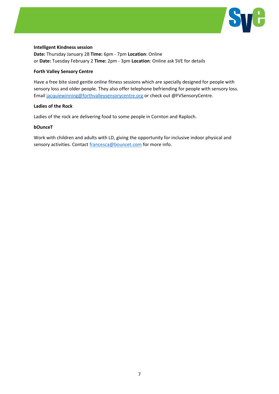

### **Intelligent Kindness session**

**Date:** Thursday January 28 **Time:** 6pm - 7pm **Location**: Online or **Date:** Tuesday February 2 **Time:** 2pm - 3pm **Location**: Online ask SVE for details

#### **Forth Valley Sensory Centre**

Have a free bite sized gentle online fitness sessions which are specially designed for people with sensory loss and older people. They also offer telephone befriending for people with sensory loss. Email [jacquiewinning@forthvalleysensorycentre.org](mailto:jacquiewinning@forthvalleysensorycentre.org) or check out @FVSensoryCentre.

#### **Ladies of the Rock**

Ladies of the rock are delivering food to some people in Cornton and Raploch.

#### **bOunceT**

Work with children and adults with LD, giving the opportunity for inclusive indoor physical and sensory activities. Contact [francesca@bouncet.com](mailto:francesca@bouncet.com) for more info.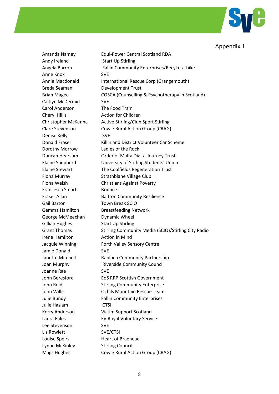

## Appendix 1

Andy Ireland Start Up Stirling Anne Knox SVE Breda Seaman Development Trust Caitlyn McDermid SVE Carol Anderson The Food Train Cheryl Hillis **Action** for Children Denise Kelly SVE Dorothy Morrow Ladies of the Rock Francesca Smart BounceT Gail Barton **Town Break SCIO** George McMeechan Dynamic Wheel Gillian Hughes Start Up Stirling Irene Hamilton **Action** in Mind Jamie Donald SVE Joanne Rae SVE Julie Haslam CTSI Lee Stevenson SVE Liz Rowlett SVE/CTSI Louise Speirs **Heart of Braehead** Lynne McKinley Stirling Council

Amanda Namey Equi-Power Central Scotland RDA Angela Barron Fallin Community Enterprises/Recyke-a-bike Annie Macdonald International Rescue Corp (Grangemouth) Brian Magee COSCA (Counselling & Psychotherapy in Scotland) Christopher McKenna Active Stirling/Club Sport Stirling Clare Stevenson Cowie Rural Action Group (CRAG) Donald Fraser Killin and District Volunteer Car Scheme Duncan Hearsum Order of Malta Dial-a-Journey Trust Elaine Shepherd University of Stirling Students' Union Elaine Stewart The Coalfields Regeneration Trust Fiona Murray Strathblane Village Club Fiona Welsh Christians Against Poverty Fraser Allan Balfron Community Resilience Gemma Hamilton Breastfeeding Network Grant Thomas Stirling Community Media (SCIO)/Stirling City Radio Jacquie Winning Forth Valley Sensory Centre Janette Mitchell Raploch Community Partnership Joan Murphy Riverside Community Council John Beresford EoS RRP Scottish Government John Reid Stirling Community Enterprise John Willis Ochils Mountain Rescue Team Julie Bundy Fallin Community Enterprises Kerry Anderson Victim Support Scotland Laura Eales FV Royal Voluntary Service Mags Hughes Cowie Rural Action Group (CRAG)